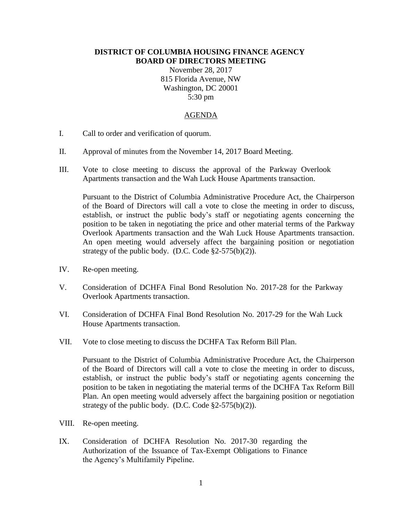## **DISTRICT OF COLUMBIA HOUSING FINANCE AGENCY BOARD OF DIRECTORS MEETING**

November 28, 2017 815 Florida Avenue, NW Washington, DC 20001 5:30 pm

## AGENDA

- I. Call to order and verification of quorum.
- II. Approval of minutes from the November 14, 2017 Board Meeting.
- III. Vote to close meeting to discuss the approval of the Parkway Overlook Apartments transaction and the Wah Luck House Apartments transaction.

Pursuant to the District of Columbia Administrative Procedure Act, the Chairperson of the Board of Directors will call a vote to close the meeting in order to discuss, establish, or instruct the public body's staff or negotiating agents concerning the position to be taken in negotiating the price and other material terms of the Parkway Overlook Apartments transaction and the Wah Luck House Apartments transaction. An open meeting would adversely affect the bargaining position or negotiation strategy of the public body. (D.C. Code  $\S2-575(b)(2)$ ).

- IV. Re-open meeting.
- V. Consideration of DCHFA Final Bond Resolution No. 2017-28 for the Parkway Overlook Apartments transaction.
- VI. Consideration of DCHFA Final Bond Resolution No. 2017-29 for the Wah Luck House Apartments transaction.
- VII. Vote to close meeting to discuss the DCHFA Tax Reform Bill Plan.

Pursuant to the District of Columbia Administrative Procedure Act, the Chairperson of the Board of Directors will call a vote to close the meeting in order to discuss, establish, or instruct the public body's staff or negotiating agents concerning the position to be taken in negotiating the material terms of the DCHFA Tax Reform Bill Plan. An open meeting would adversely affect the bargaining position or negotiation strategy of the public body. (D.C. Code  $\S2-575(b)(2)$ ).

- VIII. Re-open meeting.
- IX. Consideration of DCHFA Resolution No. 2017-30 regarding the Authorization of the Issuance of Tax-Exempt Obligations to Finance the Agency's Multifamily Pipeline.